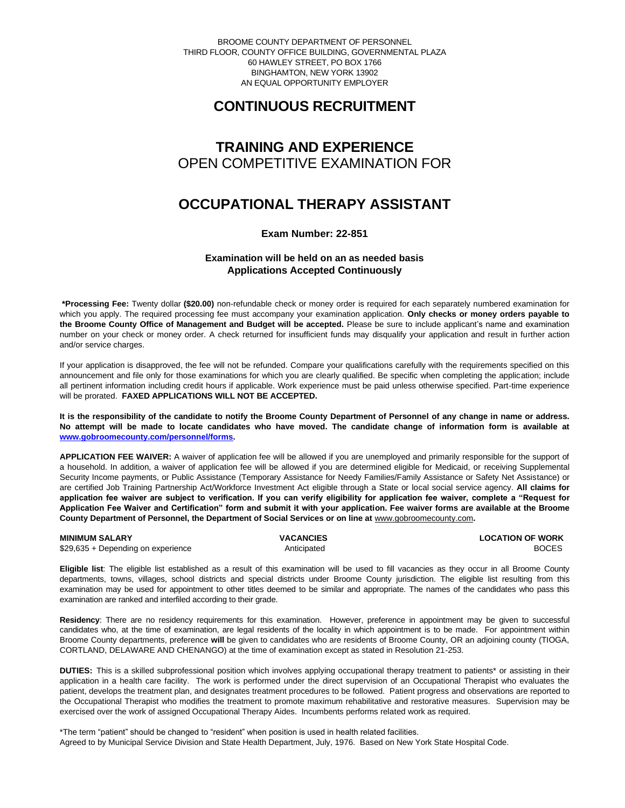BROOME COUNTY DEPARTMENT OF PERSONNEL THIRD FLOOR, COUNTY OFFICE BUILDING, GOVERNMENTAL PLAZA 60 HAWLEY STREET, PO BOX 1766 BINGHAMTON, NEW YORK 13902 AN EQUAL OPPORTUNITY EMPLOYER

# **CONTINUOUS RECRUITMENT**

## **TRAINING AND EXPERIENCE** OPEN COMPETITIVE EXAMINATION FOR

## **OCCUPATIONAL THERAPY ASSISTANT**

### **Exam Number: 22-851**

## **Examination will be held on an as needed basis Applications Accepted Continuously**

**\*Processing Fee:** Twenty dollar **(\$20.00)** non-refundable check or money order is required for each separately numbered examination for which you apply. The required processing fee must accompany your examination application. **Only checks or money orders payable to the Broome County Office of Management and Budget will be accepted.** Please be sure to include applicant's name and examination number on your check or money order. A check returned for insufficient funds may disqualify your application and result in further action and/or service charges.

If your application is disapproved, the fee will not be refunded. Compare your qualifications carefully with the requirements specified on this announcement and file only for those examinations for which you are clearly qualified. Be specific when completing the application; include all pertinent information including credit hours if applicable. Work experience must be paid unless otherwise specified. Part-time experience will be prorated. **FAXED APPLICATIONS WILL NOT BE ACCEPTED.** 

**It is the responsibility of the candidate to notify the Broome County Department of Personnel of any change in name or address. No attempt will be made to locate candidates who have moved. The candidate change of information form is available at [www.gobroomecounty.com/personnel/forms.](http://www.gobroomecounty.com/personnel/forms)**

**APPLICATION FEE WAIVER:** A waiver of application fee will be allowed if you are unemployed and primarily responsible for the support of a household. In addition, a waiver of application fee will be allowed if you are determined eligible for Medicaid, or receiving Supplemental Security Income payments, or Public Assistance (Temporary Assistance for Needy Families/Family Assistance or Safety Net Assistance) or are certified Job Training Partnership Act/Workforce Investment Act eligible through a State or local social service agency. **All claims for application fee waiver are subject to verification. If you can verify eligibility for application fee waiver, complete a "Request for Application Fee Waiver and Certification" form and submit it with your application. Fee waiver forms are available at the Broome County Department of Personnel, the Department of Social Services or on line at** www.gobroomecounty.com**.** 

**MINIMUM SALARY CONSUMINITY OF WORK CONSUMINIMUM SALARY CONSUMINIMUM SALARY CONSUMINIMUM OF WORK** \$29,635 + Depending on experience Anticipated BOCES

**Eligible list**: The eligible list established as a result of this examination will be used to fill vacancies as they occur in all Broome County departments, towns, villages, school districts and special districts under Broome County jurisdiction. The eligible list resulting from this examination may be used for appointment to other titles deemed to be similar and appropriate. The names of the candidates who pass this examination are ranked and interfiled according to their grade.

**Residency**: There are no residency requirements for this examination. However, preference in appointment may be given to successful candidates who, at the time of examination, are legal residents of the locality in which appointment is to be made. For appointment within Broome County departments, preference **will** be given to candidates who are residents of Broome County, OR an adjoining county (TIOGA, CORTLAND, DELAWARE AND CHENANGO) at the time of examination except as stated in Resolution 21-253.

**DUTIES:** This is a skilled subprofessional position which involves applying occupational therapy treatment to patients\* or assisting in their application in a health care facility. The work is performed under the direct supervision of an Occupational Therapist who evaluates the patient, develops the treatment plan, and designates treatment procedures to be followed. Patient progress and observations are reported to the Occupational Therapist who modifies the treatment to promote maximum rehabilitative and restorative measures. Supervision may be exercised over the work of assigned Occupational Therapy Aides. Incumbents performs related work as required.

\*The term "patient" should be changed to "resident" when position is used in health related facilities. Agreed to by Municipal Service Division and State Health Department, July, 1976. Based on New York State Hospital Code.